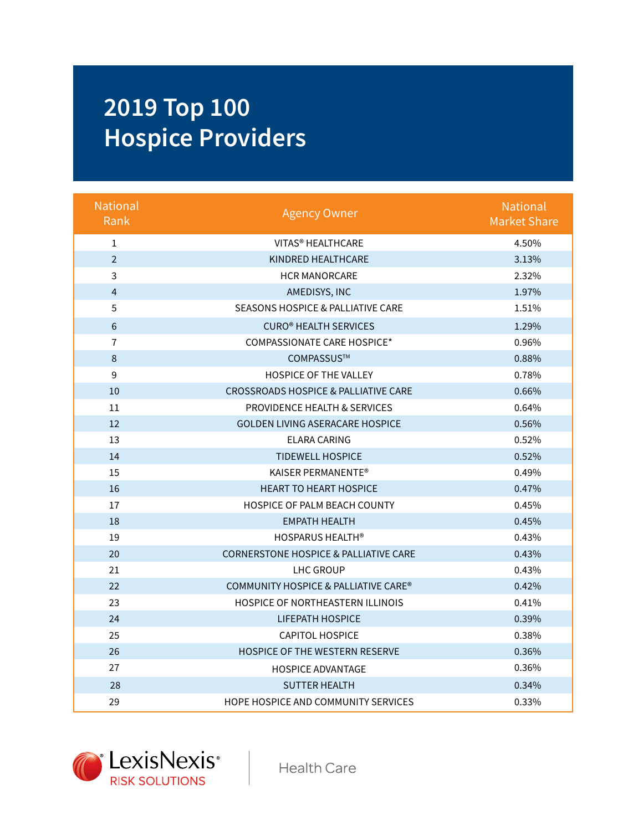## **2019 Top 100 Hospice Providers**

| <b>National</b><br>Rank | <b>Agency Owner</b>                              | <b>National</b><br><b>Market Share</b> |
|-------------------------|--------------------------------------------------|----------------------------------------|
| $\mathbf{1}$            | VITAS <sup>®</sup> HEALTHCARE                    | 4.50%                                  |
| $\overline{2}$          | KINDRED HEALTHCARE                               | 3.13%                                  |
| 3                       | <b>HCR MANORCARE</b>                             | 2.32%                                  |
| $\overline{4}$          | AMEDISYS, INC                                    | 1.97%                                  |
| 5                       | <b>SEASONS HOSPICE &amp; PALLIATIVE CARE</b>     | 1.51%                                  |
| $6\phantom{a}$          | <b>CURO® HEALTH SERVICES</b>                     | 1.29%                                  |
| $\overline{7}$          | COMPASSIONATE CARE HOSPICE*                      | 0.96%                                  |
| 8                       | COMPASSUS™                                       | 0.88%                                  |
| 9                       | <b>HOSPICE OF THE VALLEY</b>                     | 0.78%                                  |
| 10                      | <b>CROSSROADS HOSPICE &amp; PALLIATIVE CARE</b>  | 0.66%                                  |
| 11                      | <b>PROVIDENCE HEALTH &amp; SERVICES</b>          | 0.64%                                  |
| 12                      | <b>GOLDEN LIVING ASERACARE HOSPICE</b>           | 0.56%                                  |
| 13                      | <b>ELARA CARING</b>                              | 0.52%                                  |
| 14                      | <b>TIDEWELL HOSPICE</b>                          | 0.52%                                  |
| 15                      | KAISER PERMANENTE®                               | 0.49%                                  |
| 16                      | <b>HEART TO HEART HOSPICE</b>                    | 0.47%                                  |
| 17                      | HOSPICE OF PALM BEACH COUNTY                     | 0.45%                                  |
| 18                      | <b>EMPATH HEALTH</b>                             | 0.45%                                  |
| 19                      | <b>HOSPARUS HEALTH®</b>                          | 0.43%                                  |
| 20                      | <b>CORNERSTONE HOSPICE &amp; PALLIATIVE CARE</b> | 0.43%                                  |
| 21                      | LHC GROUP                                        | 0.43%                                  |
| 22                      | COMMUNITY HOSPICE & PALLIATIVE CARE®             | 0.42%                                  |
| 23                      | <b>HOSPICE OF NORTHEASTERN ILLINOIS</b>          | 0.41%                                  |
| 24                      | <b>LIFEPATH HOSPICE</b>                          | 0.39%                                  |
| 25                      | <b>CAPITOL HOSPICE</b>                           | 0.38%                                  |
| 26                      | <b>HOSPICE OF THE WESTERN RESERVE</b>            | 0.36%                                  |
| 27                      | <b>HOSPICE ADVANTAGE</b>                         | 0.36%                                  |
| 28                      | <b>SUTTER HEALTH</b>                             | 0.34%                                  |
| 29                      | HOPE HOSPICE AND COMMUNITY SERVICES              | 0.33%                                  |



**Health Care**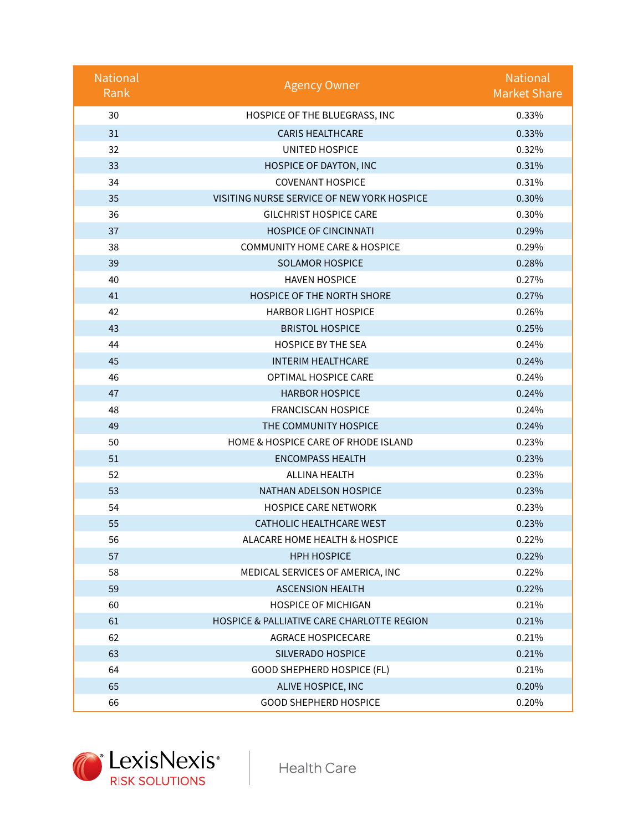| <b>National</b><br>Rank | <b>Agency Owner</b>                        | <b>National</b><br><b>Market Share</b> |
|-------------------------|--------------------------------------------|----------------------------------------|
| 30                      | HOSPICE OF THE BLUEGRASS, INC              | 0.33%                                  |
| 31                      | <b>CARIS HEALTHCARE</b>                    | 0.33%                                  |
| 32                      | <b>UNITED HOSPICE</b>                      | 0.32%                                  |
| 33                      | HOSPICE OF DAYTON, INC                     | 0.31%                                  |
| 34                      | <b>COVENANT HOSPICE</b>                    | 0.31%                                  |
| 35                      | VISITING NURSE SERVICE OF NEW YORK HOSPICE | 0.30%                                  |
| 36                      | <b>GILCHRIST HOSPICE CARE</b>              | 0.30%                                  |
| 37                      | <b>HOSPICE OF CINCINNATI</b>               | 0.29%                                  |
| 38                      | <b>COMMUNITY HOME CARE &amp; HOSPICE</b>   | 0.29%                                  |
| 39                      | <b>SOLAMOR HOSPICE</b>                     | 0.28%                                  |
| 40                      | <b>HAVEN HOSPICE</b>                       | 0.27%                                  |
| 41                      | <b>HOSPICE OF THE NORTH SHORE</b>          | 0.27%                                  |
| 42                      | <b>HARBOR LIGHT HOSPICE</b>                | 0.26%                                  |
| 43                      | <b>BRISTOL HOSPICE</b>                     | 0.25%                                  |
| 44                      | <b>HOSPICE BY THE SEA</b>                  | 0.24%                                  |
| 45                      | <b>INTERIM HEALTHCARE</b>                  | 0.24%                                  |
| 46                      | OPTIMAL HOSPICE CARE                       | 0.24%                                  |
| 47                      | <b>HARBOR HOSPICE</b>                      | 0.24%                                  |
| 48                      | <b>FRANCISCAN HOSPICE</b>                  | 0.24%                                  |
| 49                      | THE COMMUNITY HOSPICE                      | 0.24%                                  |
| 50                      | HOME & HOSPICE CARE OF RHODE ISLAND        | 0.23%                                  |
| 51                      | <b>ENCOMPASS HEALTH</b>                    | 0.23%                                  |
| 52                      | ALLINA HEALTH                              | 0.23%                                  |
| 53                      | NATHAN ADELSON HOSPICE                     | 0.23%                                  |
| 54                      | <b>HOSPICE CARE NETWORK</b>                | 0.23%                                  |
| 55                      | <b>CATHOLIC HEALTHCARE WEST</b>            | 0.23%                                  |
| 56                      | ALACARE HOME HEALTH & HOSPICE              | 0.22%                                  |
| 57                      | <b>HPH HOSPICE</b>                         | 0.22%                                  |
| 58                      | MEDICAL SERVICES OF AMERICA, INC           | 0.22%                                  |
| 59                      | <b>ASCENSION HEALTH</b>                    | 0.22%                                  |
| 60                      | <b>HOSPICE OF MICHIGAN</b>                 | 0.21%                                  |
| 61                      | HOSPICE & PALLIATIVE CARE CHARLOTTE REGION | 0.21%                                  |
| 62                      | <b>AGRACE HOSPICECARE</b>                  | 0.21%                                  |
| 63                      | SILVERADO HOSPICE                          | 0.21%                                  |
| 64                      | <b>GOOD SHEPHERD HOSPICE (FL)</b>          | 0.21%                                  |
| 65                      | ALIVE HOSPICE, INC                         | 0.20%                                  |
| 66                      | <b>GOOD SHEPHERD HOSPICE</b>               | 0.20%                                  |



**Health Care**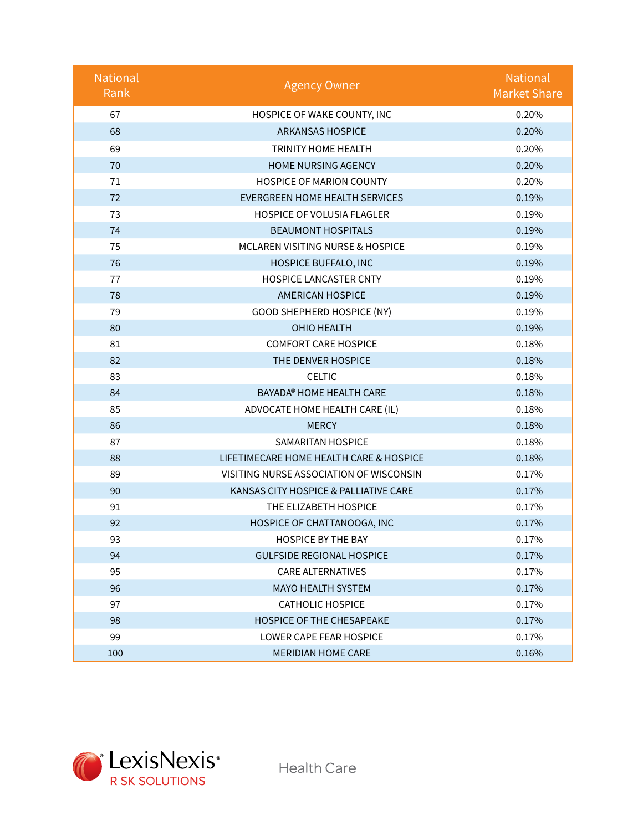| <b>National</b><br>Rank | <b>Agency Owner</b>                     | <b>National</b><br><b>Market Share</b> |
|-------------------------|-----------------------------------------|----------------------------------------|
| 67                      | HOSPICE OF WAKE COUNTY, INC             | 0.20%                                  |
| 68                      | <b>ARKANSAS HOSPICE</b>                 | 0.20%                                  |
| 69                      | TRINITY HOME HEALTH                     | 0.20%                                  |
| 70                      | <b>HOME NURSING AGENCY</b>              | 0.20%                                  |
| 71                      | <b>HOSPICE OF MARION COUNTY</b>         | 0.20%                                  |
| 72                      | <b>EVERGREEN HOME HEALTH SERVICES</b>   | 0.19%                                  |
| 73                      | HOSPICE OF VOLUSIA FLAGLER              | 0.19%                                  |
| 74                      | <b>BEAUMONT HOSPITALS</b>               | 0.19%                                  |
| 75                      | MCLAREN VISITING NURSE & HOSPICE        | 0.19%                                  |
| 76                      | HOSPICE BUFFALO, INC                    | 0.19%                                  |
| 77                      | <b>HOSPICE LANCASTER CNTY</b>           | 0.19%                                  |
| 78                      | <b>AMERICAN HOSPICE</b>                 | 0.19%                                  |
| 79                      | GOOD SHEPHERD HOSPICE (NY)              | 0.19%                                  |
| 80                      | <b>OHIO HEALTH</b>                      | 0.19%                                  |
| 81                      | <b>COMFORT CARE HOSPICE</b>             | 0.18%                                  |
| 82                      | THE DENVER HOSPICE                      | 0.18%                                  |
| 83                      | <b>CELTIC</b>                           | 0.18%                                  |
| 84                      | BAYADA® HOME HEALTH CARE                | 0.18%                                  |
| 85                      | ADVOCATE HOME HEALTH CARE (IL)          | 0.18%                                  |
| 86                      | <b>MERCY</b>                            | 0.18%                                  |
| 87                      | <b>SAMARITAN HOSPICE</b>                | 0.18%                                  |
| 88                      | LIFETIMECARE HOME HEALTH CARE & HOSPICE | 0.18%                                  |
| 89                      | VISITING NURSE ASSOCIATION OF WISCONSIN | 0.17%                                  |
| 90                      | KANSAS CITY HOSPICE & PALLIATIVE CARE   | 0.17%                                  |
| 91                      | THE ELIZABETH HOSPICE                   | 0.17%                                  |
| 92                      | HOSPICE OF CHATTANOOGA, INC             | 0.17%                                  |
| 93                      | <b>HOSPICE BY THE BAY</b>               | 0.17%                                  |
| 94                      | <b>GULFSIDE REGIONAL HOSPICE</b>        | 0.17%                                  |
| 95                      | <b>CARE ALTERNATIVES</b>                | 0.17%                                  |
| 96                      | <b>MAYO HEALTH SYSTEM</b>               | 0.17%                                  |
| 97                      | <b>CATHOLIC HOSPICE</b>                 | 0.17%                                  |
| 98                      | <b>HOSPICE OF THE CHESAPEAKE</b>        | 0.17%                                  |
| 99                      | LOWER CAPE FEAR HOSPICE                 | 0.17%                                  |
| 100                     | <b>MERIDIAN HOME CARE</b>               | 0.16%                                  |